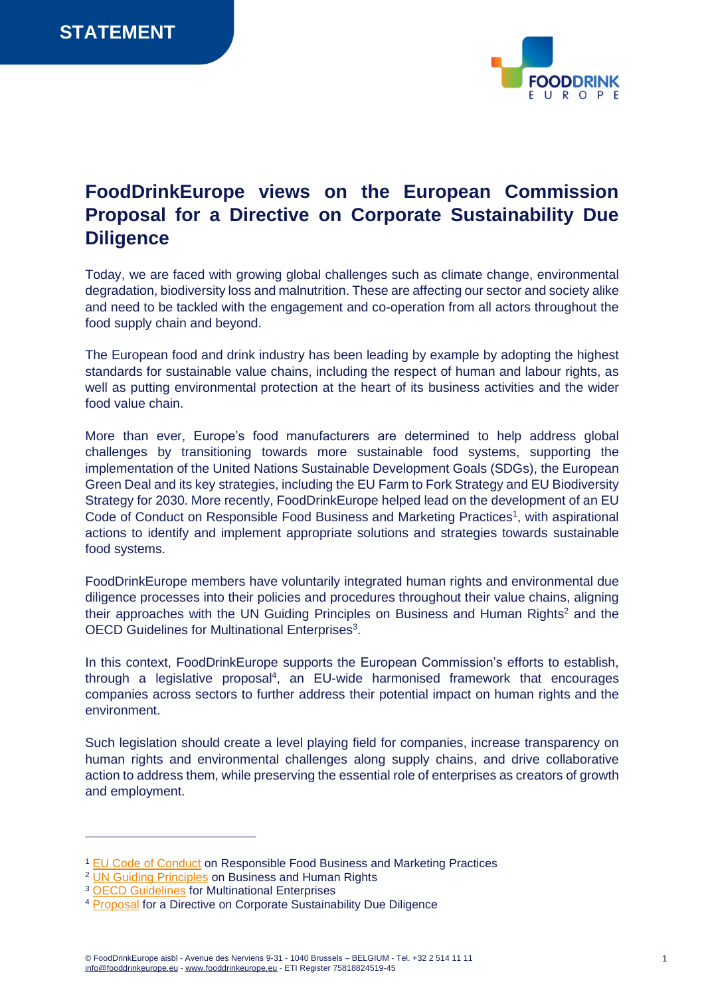

## **FoodDrinkEurope views on the European Commission Proposal for a Directive on Corporate Sustainability Due Diligence**

Today, we are faced with growing global challenges such as climate change, environmental degradation, biodiversity loss and malnutrition. These are affecting our sector and society alike and need to be tackled with the engagement and co-operation from all actors throughout the food supply chain and beyond.

The European food and drink industry has been leading by example by adopting the highest standards for sustainable value chains, including the respect of human and labour rights, as well as putting environmental protection at the heart of its business activities and the wider food value chain.

More than ever, Europe's food manufacturers are determined to help address global challenges by transitioning towards more sustainable food systems, supporting the implementation of the United Nations Sustainable Development Goals (SDGs), the European Green Deal and its key strategies, including the EU Farm to Fork Strategy and EU Biodiversity Strategy for 2030. More recently, FoodDrinkEurope helped lead on the development of an EU Code of Conduct on Responsible Food Business and Marketing Practices<sup>1</sup>, with aspirational actions to identify and implement appropriate solutions and strategies towards sustainable food systems.

FoodDrinkEurope members have voluntarily integrated human rights and environmental due diligence processes into their policies and procedures throughout their value chains, aligning their approaches with the UN Guiding Principles on Business and Human Rights<sup>2</sup> and the OECD Guidelines for Multinational Enterprises<sup>3</sup>.

In this context, FoodDrinkEurope supports the European Commission's efforts to establish, through a legislative proposal<sup>4</sup>, an EU-wide harmonised framework that encourages companies across sectors to further address their potential impact on human rights and the environment.

Such legislation should create a level playing field for companies, increase transparency on human rights and environmental challenges along supply chains, and drive collaborative action to address them, while preserving the essential role of enterprises as creators of growth and employment.

<sup>1</sup> [EU Code of Conduct](https://ec.europa.eu/food/system/files/2021-06/f2f_sfpd_coc_final_en.pdf) on Responsible Food Business and Marketing Practices

<sup>&</sup>lt;sup>2</sup> [UN Guiding Principles](file:///C:/Users/BEgiropa/AppData/Local/Microsoft/Windows/INetCache/Content.Outlook/I5BZMA4X/UN%20Guiding%20Principles%20on%20Business%20and%20Human%20Rights) on Business and Human Rights

<sup>&</sup>lt;sup>3</sup> [OECD Guidelines](https://www.oecd.org/daf/inv/mne/48004323.pdf) for Multinational Enterprises

<sup>4</sup> [Proposal](https://eur-lex.europa.eu/resource.html?uri=cellar:bc4dcea4-9584-11ec-b4e4-01aa75ed71a1.0001.02/DOC_1&format=PDF) for a Directive on Corporate Sustainability Due Diligence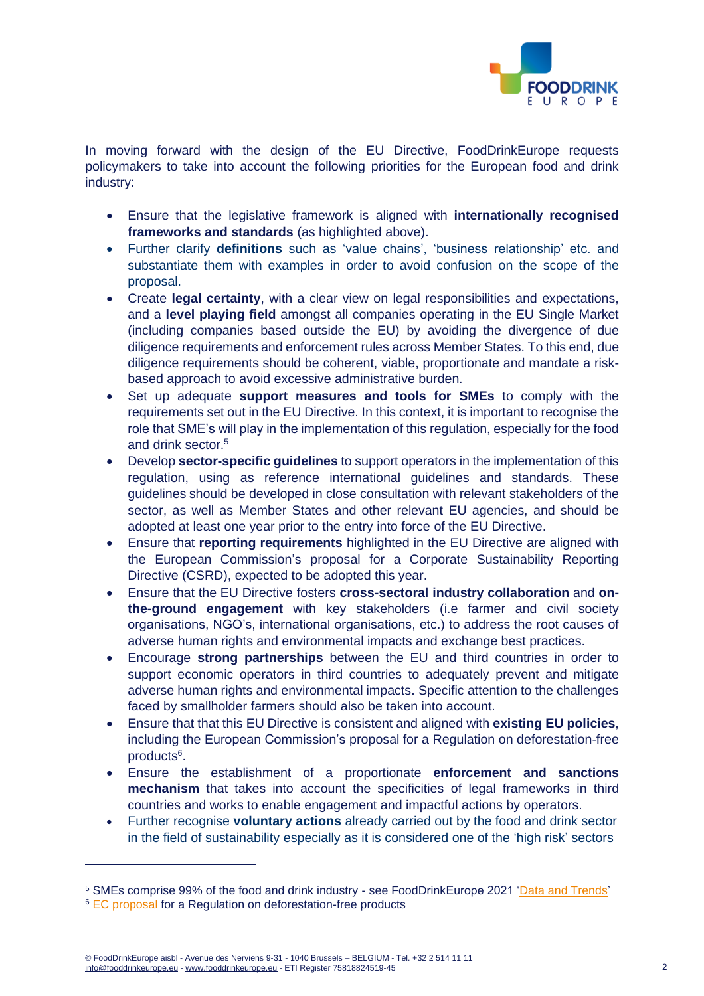

In moving forward with the design of the EU Directive, FoodDrinkEurope requests policymakers to take into account the following priorities for the European food and drink industry:

- Ensure that the legislative framework is aligned with **internationally recognised frameworks and standards** (as highlighted above).
- Further clarify **definitions** such as 'value chains', 'business relationship' etc. and substantiate them with examples in order to avoid confusion on the scope of the proposal.
- Create **legal certainty**, with a clear view on legal responsibilities and expectations, and a **level playing field** amongst all companies operating in the EU Single Market (including companies based outside the EU) by avoiding the divergence of due diligence requirements and enforcement rules across Member States. To this end, due diligence requirements should be coherent, viable, proportionate and mandate a riskbased approach to avoid excessive administrative burden.
- Set up adequate **support measures and tools for SMEs** to comply with the requirements set out in the EU Directive. In this context, it is important to recognise the role that SME's will play in the implementation of this regulation, especially for the food and drink sector.<sup>5</sup>
- Develop **sector-specific guidelines** to support operators in the implementation of this regulation, using as reference international guidelines and standards. These guidelines should be developed in close consultation with relevant stakeholders of the sector, as well as Member States and other relevant EU agencies, and should be adopted at least one year prior to the entry into force of the EU Directive.
- Ensure that **reporting requirements** highlighted in the EU Directive are aligned with the European Commission's proposal for a Corporate Sustainability Reporting Directive (CSRD), expected to be adopted this year.
- Ensure that the EU Directive fosters **cross-sectoral industry collaboration** and **onthe-ground engagement** with key stakeholders (i.e farmer and civil society organisations, NGO's, international organisations, etc.) to address the root causes of adverse human rights and environmental impacts and exchange best practices.
- Encourage **strong partnerships** between the EU and third countries in order to support economic operators in third countries to adequately prevent and mitigate adverse human rights and environmental impacts. Specific attention to the challenges faced by smallholder farmers should also be taken into account.
- Ensure that that this EU Directive is consistent and aligned with **existing EU policies**, including the European Commission's proposal for a Regulation on deforestation-free products<sup>6</sup>.
- Ensure the establishment of a proportionate **enforcement and sanctions mechanism** that takes into account the specificities of legal frameworks in third countries and works to enable engagement and impactful actions by operators.
- Further recognise **voluntary actions** already carried out by the food and drink sector in the field of sustainability especially as it is considered one of the 'high risk' sectors

<sup>5</sup> SMEs comprise 99% of the food and drink industry - see FoodDrinkEurope 2021 ['Data and Trends'](https://www.fooddrinkeurope.eu/wp-content/uploads/2021/11/FoodDrinkEurope-Data-Trends-2021-digital.pdf)  <sup>6</sup> [EC proposal](file:///C:/Users/LFE/Downloads/COM_2021_706_1_EN_ACT_part1_v6%20(45).pdf) for a Regulation on deforestation-free products